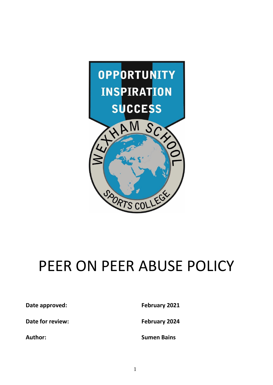

# PEER ON PEER ABUSE POLICY

**Date approved: February 2021** 

**Date for review: February 2024**

**Author: Sumen Bains**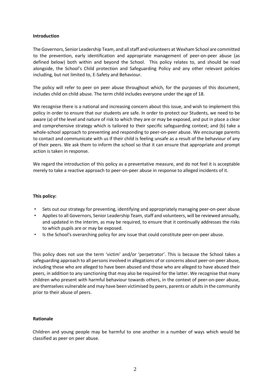#### **Introduction**

The Governors, Senior Leadership Team, and all staff and volunteers at Wexham School are committed to the prevention, early identification and appropriate management of peer-on-peer abuse (as defined below) both within and beyond the School. This policy relates to, and should be read alongside, the School's Child protection and Safeguarding Policy and any other relevant policies including, but not limited to, E‐Safety and Behaviour.

The policy will refer to peer on peer abuse throughout which, for the purposes of this document, includes child on child abuse. The term child includes everyone under the age of 18.

We recognise there is a national and increasing concern about this issue, and wish to implement this policy in order to ensure that our students are safe. In order to protect our Students, we need to be aware (a) of the level and nature of risk to which they are or may be exposed, and put in place a clear and comprehensive strategy which is tailored to their specific safeguarding context; and (b) take a whole-school approach to preventing and responding to peer-on-peer abuse. We encourage parents to contact and communicate with us if their child is feeling unsafe as a result of the behaviour of any of their peers. We ask them to inform the school so that it can ensure that appropriate and prompt action is taken in response.

We regard the introduction of this policy as a preventative measure, and do not feel it is acceptable merely to take a reactive approach to peer-on-peer abuse in response to alleged incidents of it.

### **This policy:**

- Sets out our strategy for preventing, identifying and appropriately managing peer‐on‐peer abuse
- Applies to all Governors, Senior Leadership Team, staff and volunteers, will be reviewed annually, and updated in the interim, as may be required, to ensure that it continually addresses the risks to which pupils are or may be exposed.
- Is the School's overarching policy for any issue that could constitute peer-on-peer abuse.

This policy does not use the term 'victim' and/or 'perpetrator'. This is because the School takes a safeguarding approach to all persons involved in allegations of or concerns about peer-on-peer abuse, including those who are alleged to have been abused and those who are alleged to have abused their peers, in addition to any sanctioning that may also be required for the latter. We recognise that many children who present with harmful behaviour towards others, in the context of peer-on-peer abuse, are themselves vulnerable and may have been victimised by peers, parents or adults in the community prior to their abuse of peers.

#### **Rationale**

Children and young people may be harmful to one another in a number of ways which would be classified as peer on peer abuse.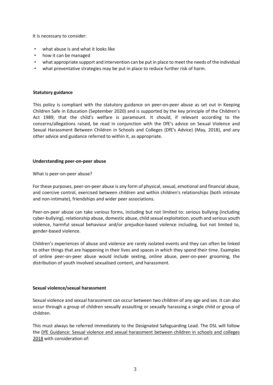It is necessary to consider:

- what abuse is and what it looks like
- how it can be managed
- what appropriate support and intervention can be put in place to meet the needs of the individual
- what preventative strategies may be put in place to reduce further risk of harm.

#### **Statutory guidance**

This policy is compliant with the statutory guidance on peer‐on‐peer abuse as set out in Keeping Children Safe in Education (September 2020) and is supported by the key principle of the Children's Act 1989, that the child's welfare is paramount. It should, if relevant according to the concerns/allegations raised, be read in conjunction with the DfE's advice on Sexual Violence and Sexual Harassment Between Children in Schools and Colleges (DfE's Advice) (May, 2018), and any other advice and guidance referred to within it, as appropriate.

#### **Understanding peer‐on‐peer abuse**

What is peer‐on‐peer abuse?

For these purposes, peer‐on‐peer abuse is any form of physical, sexual, emotional and financial abuse, and coercive control, exercised between children and within children's relationships (both intimate and non‐intimate), friendships and wider peer associations.

Peer-on-peer abuse can take various forms, including but not limited to: serious bullying (including cyber‐bullying), relationship abuse, domestic abuse, child sexual exploitation, youth and serious youth violence, harmful sexual behaviour and/or prejudice‐based violence including, but not limited to, gender‐based violence.

Children's experiences of abuse and violence are rarely isolated events and they can often be linked to other things that are happening in their lives and spaces in which they spend their time. Examples of online peer‐on‐peer abuse would include sexting, online abuse, peer‐on‐peer grooming, the distribution of youth involved sexualised content, and harassment.

### **Sexual violence/sexual harassment**

Sexual violence and sexual harassment can occur between two children of any age and sex. It can also occur through a group of children sexually assaulting or sexually harassing a single child or group of children.

This must always be referred immediately to the Designated Safeguarding Lead. The DSL will follow the DfE Guidance: Sexual violence and sexual harassment between children in schools and colleges 2018 with consideration of: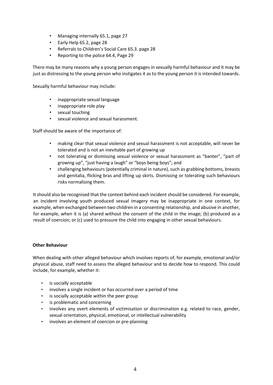- Managing internally 65.1, page 27
- Early Help 65.2, page 28
- Referrals to Children's Social Care 65.3. page 28
- Reporting to the police 64.4, Page 29

There may be many reasons why a young person engages in sexually harmful behaviour and it may be just as distressing to the young person who instigates it as to the young person it is intended towards.

Sexually harmful behaviour may include:

- inappropriate sexual language
- inappropriate role play
- sexual touching
- sexual violence and sexual harassment.

Staff should be aware of the importance of:

- making clear that sexual violence and sexual harassment is not acceptable, will never be tolerated and is not an inevitable part of growing up
- not tolerating or dismissing sexual violence or sexual harassment as "banter", "part of growing up", "just having a laugh" or "boys being boys"; and
- challenging behaviours (potentially criminal in nature), such as grabbing bottoms, breasts and genitalia, flicking bras and lifting up skirts. Dismissing or tolerating such behaviours risks normalising them.

It should also be recognised that the context behind each incident should be considered. For example, an incident involving youth produced sexual imagery may be inappropriate in one context, for example, when exchanged between two children in a consenting relationship, and abusive in another, for example, when it is (a) shared without the consent of the child in the image; (b) produced as a result of coercion; or (c) used to pressure the child into engaging in other sexual behaviours.

# **Other Behaviour**

When dealing with other alleged behaviour which involves reports of, for example, emotional and/or physical abuse, staff need to assess the alleged behaviour and to decide how to respond. This could include, for example, whether it:

- is socially acceptable
- involves a single incident or has occurred over a period of time
- is socially acceptable within the peer group
- is problematic and concerning
- involves any overt elements of victimisation or discrimination e.g. related to race, gender, sexual orientation, physical, emotional, or intellectual vulnerability
- involves an element of coercion or pre-planning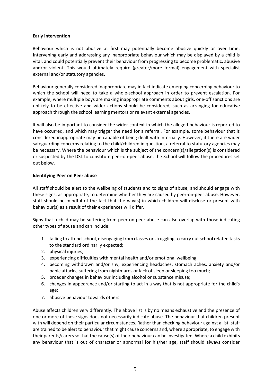## **Early intervention**

Behaviour which is not abusive at first may potentially become abusive quickly or over time. Intervening early and addressing any inappropriate behaviour which may be displayed by a child is vital, and could potentially prevent their behaviour from progressing to become problematic, abusive and/or violent. This would ultimately require (greater/more formal) engagement with specialist external and/or statutory agencies.

Behaviour generally considered inappropriate may in fact indicate emerging concerning behaviour to which the school will need to take a whole-school approach in order to prevent escalation. For example, where multiple boys are making inappropriate comments about girls, one‐off sanctions are unlikely to be effective and wider actions should be considered, such as arranging for educative approach through the school learning mentors or relevant external agencies.

It will also be important to consider the wider context in which the alleged behaviour is reported to have occurred, and which may trigger the need for a referral. For example, some behaviour that is considered inappropriate may be capable of being dealt with internally. However, if there are wider safeguarding concerns relating to the child/children in question, a referral to statutory agencies may be necessary. Where the behaviour which is the subject of the concern(s)/allegation(s) is considered or suspected by the DSL to constitute peer‐on‐peer abuse, the School will follow the procedures set out below.

## **Identifying Peer on Peer abuse**

All staff should be alert to the wellbeing of students and to signs of abuse, and should engage with these signs, as appropriate, to determine whether they are caused by peer‐on‐peer abuse. However, staff should be mindful of the fact that the way(s) in which children will disclose or present with behaviour(s) as a result of their experiences will differ.

Signs that a child may be suffering from peer‐on‐peer abuse can also overlap with those indicating other types of abuse and can include:

- 1. failing to attend school, disengaging from classes or struggling to carry out school related tasks to the standard ordinarily expected;
- 2. physical injuries;
- 3. experiencing difficulties with mental health and/or emotional wellbeing;
- 4. becoming withdrawn and/or shy; experiencing headaches, stomach aches, anxiety and/or panic attacks; suffering from nightmares or lack of sleep or sleeping too much;
- 5. broader changes in behaviour including alcohol or substance misuse;
- 6. changes in appearance and/or starting to act in a way that is not appropriate for the child's age;
- 7. abusive behaviour towards others.

Abuse affects children very differently. The above list is by no means exhaustive and the presence of one or more of these signs does not necessarily indicate abuse. The behaviour that children present with will depend on their particular circumstances. Rather than checking behaviour against a list, staff are trained to be alert to behaviour that might cause concerns and, where appropriate, to engage with their parents/carers so that the cause(s) of their behaviour can be investigated. Where a child exhibits any behaviour that is out of character or abnormal for his/her age, staff should always consider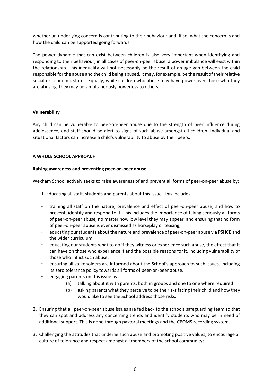whether an underlying concern is contributing to their behaviour and, if so, what the concern is and how the child can be supported going forwards.

The power dynamic that can exist between children is also very important when identifying and responding to their behaviour; in all cases of peer‐on‐peer abuse, a power imbalance will exist within the relationship. This inequality will not necessarily be the result of an age gap between the child responsible for the abuse and the child being abused. It may, for example, be the result of their relative social or economic status. Equally, while children who abuse may have power over those who they are abusing, they may be simultaneously powerless to others.

## **Vulnerability**

Any child can be vulnerable to peer-on-peer abuse due to the strength of peer influence during adolescence, and staff should be alert to signs of such abuse amongst all children. Individual and situational factors can increase a child's vulnerability to abuse by their peers.

## **A WHOLE SCHOOL APPROACH**

## **Raising awareness and preventing peer‐on‐peer abuse**

Wexham School actively seeks to raise awareness of and prevent all forms of peer-on-peer abuse by:

1. Educating all staff, students and parents about this issue. This includes:

- training all staff on the nature, prevalence and effect of peer-on-peer abuse, and how to prevent, identify and respond to it. This includes the importance of taking seriously all forms of peer‐on‐peer abuse, no matter how low level they may appear, and ensuring that no form of peer‐on‐peer abuse is ever dismissed as horseplay or teasing;
- educating our students about the nature and prevalence of peer‐on‐peer abuse via PSHCE and the wider curriculum
- educating our students what to do if they witness or experience such abuse, the effect that it can have on those who experience it and the possible reasons for it, including vulnerability of those who inflict such abuse.
- ensuring all stakeholders are informed about the School's approach to such issues, including its zero tolerance policy towards all forms of peer‐on‐peer abuse.
- engaging parents on this issue by:
	- (a) talking about it with parents, both in groups and one to one where required
	- (b) asking parents what they perceive to be the risks facing their child and how they would like to see the School address those risks.
- 2. Ensuring that all peer‐on‐peer abuse issues are fed back to the schools safeguarding team so that they can spot and address any concerning trends and identify students who may be in need of additional support. This is done through pastoral meetings and the CPOMS recording system.
- 3. Challenging the attitudes that underlie such abuse and promoting positive values, to encourage a culture of tolerance and respect amongst all members of the school community;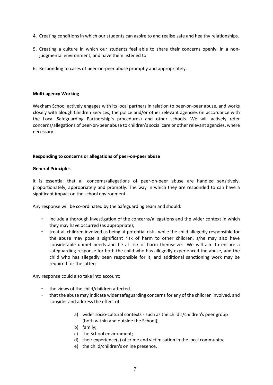- 4. Creating conditions in which our students can aspire to and realise safe and healthy relationships.
- 5. Creating a culture in which our students feel able to share their concerns openly, in a nonjudgmental environment, and have them listened to.
- 6. Responding to cases of peer‐on‐peer abuse promptly and appropriately.

### **Multi‐agency Working**

Wexham School actively engages with its local partners in relation to peer-on-peer abuse, and works closely with Slough Children Services, the police and/or other relevant agencies (in accordance with the Local Safeguarding Partnership's procedures) and other schools. We will actively refer concerns/allegations of peer‐on‐peer abuse to children's social care or other relevant agencies, where necessary.

## **Responding to concerns or allegations of peer‐on‐peer abuse**

## **General Principles**

It is essential that all concerns/allegations of peer-on-peer abuse are handled sensitively, proportionately, appropriately and promptly. The way in which they are responded to can have a significant impact on the school environment.

Any response will be co-ordinated by the Safeguarding team and should:

- include a thorough investigation of the concerns/allegations and the wider context in which they may have occurred (as appropriate);
- treat all children involved as being at potential risk while the child allegedly responsible for the abuse may pose a significant risk of harm to other children, s/he may also have considerable unmet needs and be at risk of harm themselves. We will aim to ensure a safeguarding response for both the child who has allegedly experienced the abuse, and the child who has allegedly been responsible for it, and additional sanctioning work may be required for the latter;

Any response could also take into account:

- the views of the child/children affected.
- that the abuse may indicate wider safeguarding concerns for any of the children involved, and consider and address the effect of:
	- a) wider socio-cultural contexts such as the child's/children's peer group (both within and outside the School);
	- b) family;
	- c) the School environment;
	- d) their experience(s) of crime and victimisation in the local community;
	- e) the child/children's online presence.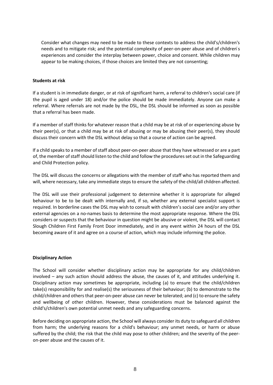Consider what changes may need to be made to these contexts to address the child's/children's needs and to mitigate risk; and the potential complexity of peer-on-peer abuse and of children's experiences and consider the interplay between power, choice and consent. While children may appear to be making choices, if those choices are limited they are not consenting;

## **Students at risk**

If a student is in immediate danger, or at risk of significant harm, a referral to children's social care (if the pupil is aged under 18) and/or the police should be made immediately. Anyone can make a referral. Where referrals are not made by the DSL, the DSL should be informed as soon as possible that a referral has been made.

If a member of staff thinks for whatever reason that a child may be at risk of or experiencing abuse by their peer(s), or that a child may be at risk of abusing or may be abusing their peer(s), they should discuss their concern with the DSL without delay so that a course of action can be agreed.

If a child speaks to a member of staff about peer‐on‐peer abuse that they have witnessed or are a part of, the member of staff should listen to the child and follow the procedures set out in the Safeguarding and Child Protection policy.

The DSL will discuss the concerns or allegations with the member of staff who has reported them and will, where necessary, take any immediate steps to ensure the safety of the child/all children affected.

The DSL will use their professional judgement to determine whether it is appropriate for alleged behaviour to be to be dealt with internally and, if so, whether any external specialist support is required. In borderline cases the DSL may wish to consult with children's social care and/or any other external agencies on a no-names basis to determine the most appropriate response. Where the DSL considers or suspects that the behaviour in question might be abusive or violent, the DSL will contact Slough Children First Family Front Door immediately, and in any event within 24 hours of the DSL becoming aware of it and agree on a course of action, which may include informing the police.

# **Disciplinary Action**

The School will consider whether disciplinary action may be appropriate for any child/children involved – any such action should address the abuse, the causes of it, and attitudes underlying it. Disciplinary action may sometimes be appropriate, including (a) to ensure that the child/children take(s) responsibility for and realise(s) the seriousness of their behaviour; (b) to demonstrate to the child/children and others that peer‐on‐peer abuse can never be tolerated; and (c) to ensure the safety and wellbeing of other children. However, these considerations must be balanced against the child's/children's own potential unmet needs and any safeguarding concerns.

Before deciding on appropriate action, the School will always consider its duty to safeguard all children from harm; the underlying reasons for a child's behaviour; any unmet needs, or harm or abuse suffered by the child; the risk that the child may pose to other children; and the severity of the peer‐ on‐peer abuse and the causes of it.